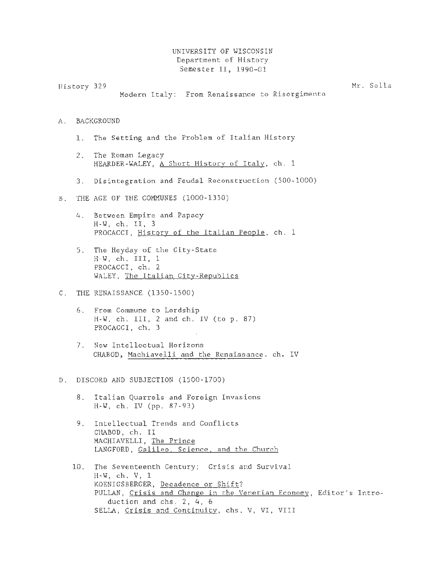## UNIVERSITY OF WISCONSIN Department of History Semester II, 1990-01

History 329 Mr. Sella

Modern Italy: From Renaissance to Risorgimento

- A. BACKGROUND
	- 1. The Setting and the Problem of Italian History
	- 2. The Roman Legacy HEARDER-WALEY, A Short History of Italy, ch. 1
	- 3. Disintegration and Feudal Reconstruction (500-1000)
- B. THE AGE OF THE COMMUNES (1000-1350)
	- 4. Between Empire and Papacy H-W, ch. II, 3 PROCACCI, History of the Italian People, ch. 1
	- 5. The Heyday of the City-State H-W, ch. III, <sup>1</sup> PROCACCI, ch. 2 WALEY, The Italian City-Republics
- C. THE RENAISSANCE (1350-1500)
	- 6. From Commune to Lordship H-W, ch. III, 2 and ch. IV (to p. 87) PROCACCI, ch. 3
	- 7. New Intellectual Horizons CHABOD, Machiavelli and the Renaissance. ch. IV
- D. DISCORD AND SUBJECTION (1500-1700)
	- 8. Italian Quarrels and Foreign Invasions H-W, ch. IV (pp. 87-93)
	- 9. Intellectual Trends and Conflicts CHABOD, ch. II MACHIAVELLI, The Prince LANGFORD, Galileo. Science, and the Church
	- 10. The Seventeenth Century: Crisis and Survival H-W, ch. V, 1 KOENIGSBERGER, Decadence or Shift? PULLAN, Crisis and Change in the Venetian Economy, Editor's Introduction and chs. 2, 4, 6 SELLA, Crisis and Continuity, chs. V, VI, VIII